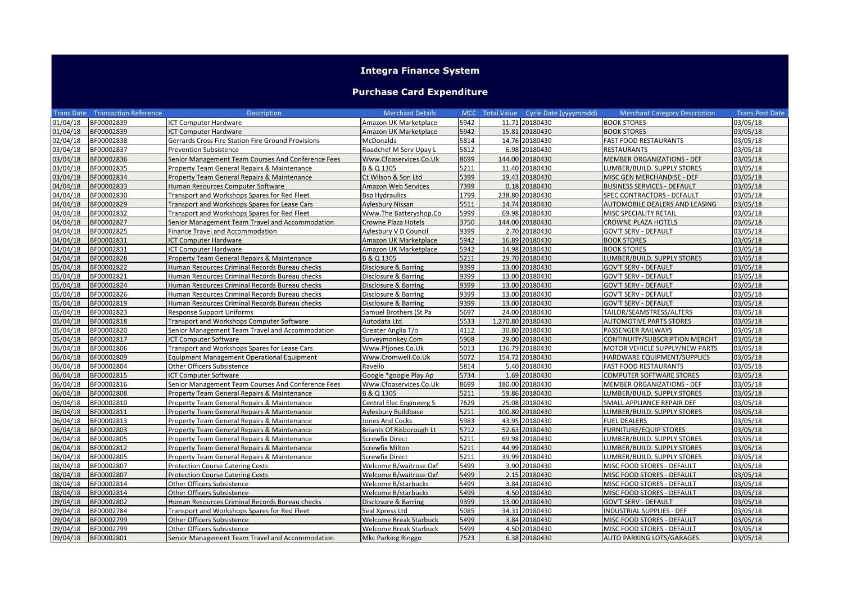## **Integra Finance System**

## **Purchase Card Expenditure**

|          | <b>Trans Date Transaction Reference</b> | <b>Description</b>                                 | <b>Merchant Details</b>       |      | MCC Total Value Cycle Date (yyyymmdd) | <b>Merchant Category Description</b> | <b>Trans Post Date</b> |
|----------|-----------------------------------------|----------------------------------------------------|-------------------------------|------|---------------------------------------|--------------------------------------|------------------------|
| 01/04/18 | BF00002839                              | <b>ICT Computer Hardware</b>                       | Amazon UK Marketplace         | 5942 | 11.71 20180430                        | <b>BOOK STORES</b>                   | 03/05/18               |
| 01/04/18 | BF00002839                              | <b>ICT Computer Hardware</b>                       | Amazon UK Marketplace         | 5942 | 15.81 20180430                        | <b>BOOK STORES</b>                   | 03/05/18               |
| 02/04/18 | BF00002838                              | Gerrards Cross Fire Station Fire Ground Provisions | McDonalds                     | 5814 | 14.76 20180430                        | <b>FAST FOOD RESTAURANTS</b>         | 03/05/18               |
| 03/04/18 | BF00002837                              | <b>Prevention Subsistence</b>                      | Roadchef M Serv Upay L        | 5812 | 6.98 20180430                         | <b>RESTAURANTS</b>                   | 03/05/18               |
| 03/04/18 | BF00002836                              | Senior Management Team Courses And Conference Fees | Www.Cfoaservices.Co.Uk        | 8699 | 144.00 20180430                       | MEMBER ORGANIZATIONS - DEF           | 03/05/18               |
| 03/04/18 | BF00002835                              | Property Team General Repairs & Maintenance        | B & Q 1305                    | 5211 | 11.40 20180430                        | LUMBER/BUILD. SUPPLY STORES          | 03/05/18               |
| 03/04/18 | BF00002834                              | Property Team General Repairs & Maintenance        | Ct Wilson & Son Ltd           | 5399 | 19.43 20180430                        | MISC GEN MERCHANDISE - DEF           | 03/05/18               |
| 04/04/18 | BF00002833                              | Human Resources Computer Software                  | Amazon Web Services           | 7399 | 0.18 20180430                         | <b>BUSINESS SERVICES - DEFAULT</b>   | 03/05/18               |
| 04/04/18 | BF00002830                              | Transport and Workshops Spares for Red Fleet       | Bsp Hydraulics                | 1799 | 238.80 20180430                       | SPEC CONTRACTORS - DEFAULT           | 03/05/18               |
| 04/04/18 | BF00002829                              | Transport and Workshops Spares for Lease Cars      | Aylesbury Nissan              | 5511 | 14.74 20180430                        | AUTOMOBILE DEALERS AND LEASING       | 03/05/18               |
| 04/04/18 | BF00002832                              | Transport and Workshops Spares for Red Fleet       | Www.The Batteryshop.Co        | 5999 | 69.98 20180430                        | MISC SPECIALITY RETAIL               | 03/05/18               |
| 04/04/18 | BF00002827                              | Senior Management Team Travel and Accommodation    | Crowne Plaza Hotels           | 3750 | 144.00 20180430                       | <b>CROWNE PLAZA HOTELS</b>           | 03/05/18               |
| 04/04/18 | BF00002825                              | Finance Travel and Accommodation                   | Aylesbury V D Council         | 9399 | 2.70 20180430                         | GOV'T SERV - DEFAULT                 | 03/05/18               |
| 04/04/18 | BF00002831                              | <b>ICT Computer Hardware</b>                       | Amazon UK Marketplace         | 5942 | 16.89 20180430                        | <b>BOOK STORES</b>                   | 03/05/18               |
| 04/04/18 | BF00002831                              | <b>ICT Computer Hardware</b>                       | Amazon UK Marketplace         | 5942 | 14.98 20180430                        | <b>BOOK STORES</b>                   | 03/05/18               |
| 04/04/18 | BF00002828                              | Property Team General Repairs & Maintenance        | B & Q 1305                    | 5211 | 29.70 20180430                        | LUMBER/BUILD. SUPPLY STORES          | 03/05/18               |
| 05/04/18 | BF00002822                              | Human Resources Criminal Records Bureau checks     | Disclosure & Barring          | 9399 | 13.00 20180430                        | <b>GOV'T SERV - DEFAULT</b>          | 03/05/18               |
| 05/04/18 | BF00002821                              | Human Resources Criminal Records Bureau checks     | Disclosure & Barring          | 9399 | 13.00 20180430                        | <b>GOV'T SERV - DEFAULT</b>          | 03/05/18               |
| 05/04/18 | BF00002824                              | Human Resources Criminal Records Bureau checks     | Disclosure & Barring          | 9399 | 13.00 20180430                        | <b>GOV'T SERV - DEFAULT</b>          | 03/05/18               |
| 05/04/18 | BF00002826                              | Human Resources Criminal Records Bureau checks     | Disclosure & Barring          | 9399 | 13.00 20180430                        | <b>GOV'T SERV - DEFAULT</b>          | 03/05/18               |
| 05/04/18 | BF00002819                              | Human Resources Criminal Records Bureau checks     | Disclosure & Barring          | 9399 | 13.00 20180430                        | <b>GOV'T SERV - DEFAULT</b>          | 03/05/18               |
| 05/04/18 | BF00002823                              | <b>Response Support Uniforms</b>                   | Samuel Brothers (St Pa        | 5697 | 24.00 20180430                        | TAILOR/SEAMSTRESS/ALTERS             | 03/05/18               |
| 05/04/18 | BF00002818                              | Transport and Workshops Computer Software          | Autodata Ltd                  | 5533 | 1,270.80 20180430                     | <b>AUTOMOTIVE PARTS STORES</b>       | 03/05/18               |
| 05/04/18 | BF00002820                              | Senior Management Team Travel and Accommodation    | Greater Anglia T/o            | 4112 | 30.80 20180430                        | PASSENGER RAILWAYS                   | 03/05/18               |
| 05/04/18 | BF00002817                              | <b>ICT Computer Software</b>                       | Surveymonkey.Com              | 5968 | 29.00 20180430                        | CONTINUITY/SUBSCRIPTION MERCHT       | 03/05/18               |
| 06/04/18 | BF00002806                              | Transport and Workshops Spares for Lease Cars      | Www.Pfjones.Co.Uk             | 5013 | 136.79 20180430                       | MOTOR VEHICLE SUPPLY/NEW PARTS       | 03/05/18               |
| 06/04/18 | BF00002809                              | <b>Equipment Management Operational Equipment</b>  | Www.Cromwell.Co.Uk            | 5072 | 154.72 20180430                       | HARDWARE EQUIPMENT/SUPPLIES          | 03/05/18               |
| 06/04/18 | BF00002804                              | <b>Other Officers Subsistence</b>                  | Ravello                       | 5814 | 5.40 20180430                         | <b>FAST FOOD RESTAURANTS</b>         | 03/05/18               |
| 06/04/18 | BF00002815                              | ICT Computer Software                              | Google *google Play Ap        | 5734 | 1.69 20180430                         | COMPUTER SOFTWARE STORES             | 03/05/18               |
| 06/04/18 | BF00002816                              | Senior Management Team Courses And Conference Fees | Www.Cfoaservices.Co.Uk        | 8699 | 180.00 20180430                       | MEMBER ORGANIZATIONS - DEF           | 03/05/18               |
| 06/04/18 | BF00002808                              | Property Team General Repairs & Maintenance        | B & Q 1305                    | 5211 | 59.86 20180430                        | LUMBER/BUILD. SUPPLY STORES          | 03/05/18               |
| 06/04/18 | BF00002810                              | Property Team General Repairs & Maintenance        | Central Elec Engineerg S      | 7629 | 25.08 20180430                        | SMALL APPLIANCE REPAIR DEF           | 03/05/18               |
| 06/04/18 | BF00002811                              | Property Team General Repairs & Maintenance        | Aylesbury Buildbase           | 5211 | 100.80 20180430                       | LUMBER/BUILD. SUPPLY STORES          | 03/05/18               |
| 06/04/18 | BF00002813                              | Property Team General Repairs & Maintenance        | Jones And Cocks               | 5983 | 43.95 20180430                        | <b>FUEL DEALERS</b>                  | 03/05/18               |
| 06/04/18 | BF00002803                              | Property Team General Repairs & Maintenance        | Briants Of Risborough Lt      | 5712 | 52.63 20180430                        | <b>FURNITURE/EQUIP STORES</b>        | 03/05/18               |
| 06/04/18 | BF00002805                              | Property Team General Repairs & Maintenance        | Screwfix Direct               | 5211 | 69.98 20180430                        | LUMBER/BUILD. SUPPLY STORES          | 03/05/18               |
| 06/04/18 | BF00002812                              | Property Team General Repairs & Maintenance        | Screwfix Milton               | 5211 | 44.99 20180430                        | LUMBER/BUILD. SUPPLY STORES          | 03/05/18               |
| 06/04/18 | BF00002805                              | Property Team General Repairs & Maintenance        | Screwfix Direct               | 5211 | 39.99 20180430                        | LUMBER/BUILD. SUPPLY STORES          | 03/05/18               |
| 08/04/18 | BF00002807                              | <b>Protection Course Catering Costs</b>            | Welcome B/waitrose Oxf        | 5499 | 3.90 20180430                         | MISC FOOD STORES - DEFAULT           | 03/05/18               |
| 08/04/18 | BF00002807                              | <b>Protection Course Catering Costs</b>            | Welcome B/waitrose Oxf        | 5499 | 2.15 20180430                         | MISC FOOD STORES - DEFAULT           | 03/05/18               |
| 08/04/18 | BF00002814                              | Other Officers Subsistence                         | Welcome B/starbucks           | 5499 | 3.84 20180430                         | MISC FOOD STORES - DEFAULT           | 03/05/18               |
| 08/04/18 | BF00002814                              | Other Officers Subsistence                         | Welcome B/starbucks           | 5499 | 4.50 20180430                         | MISC FOOD STORES - DEFAULT           | 03/05/18               |
| 09/04/18 | BF00002802                              | Human Resources Criminal Records Bureau checks     | Disclosure & Barring          | 9399 | 13.00 20180430                        | <b>GOV'T SERV - DEFAULT</b>          | 03/05/18               |
| 09/04/18 | BF00002784                              | Transport and Workshops Spares for Red Fleet       | Seal Xpress Ltd               | 5085 | 34.31 20180430                        | INDUSTRIAL SUPPLIES - DEF            | 03/05/18               |
| 09/04/18 | BF00002799                              | <b>Other Officers Subsistence</b>                  | <b>Welcome Break Starbuck</b> | 5499 | 3.84 20180430                         | MISC FOOD STORES - DEFAULT           | 03/05/18               |
| 09/04/18 | BF00002799                              | Other Officers Subsistence                         | Welcome Break Starbuck        | 5499 | 4.50 20180430                         | MISC FOOD STORES - DEFAULT           | 03/05/18               |
| 09/04/18 | BF00002801                              | Senior Management Team Travel and Accommodation    | Mkc Parking Ringgo            | 7523 | 6.38 20180430                         | AUTO PARKING LOTS/GARAGES            | 03/05/18               |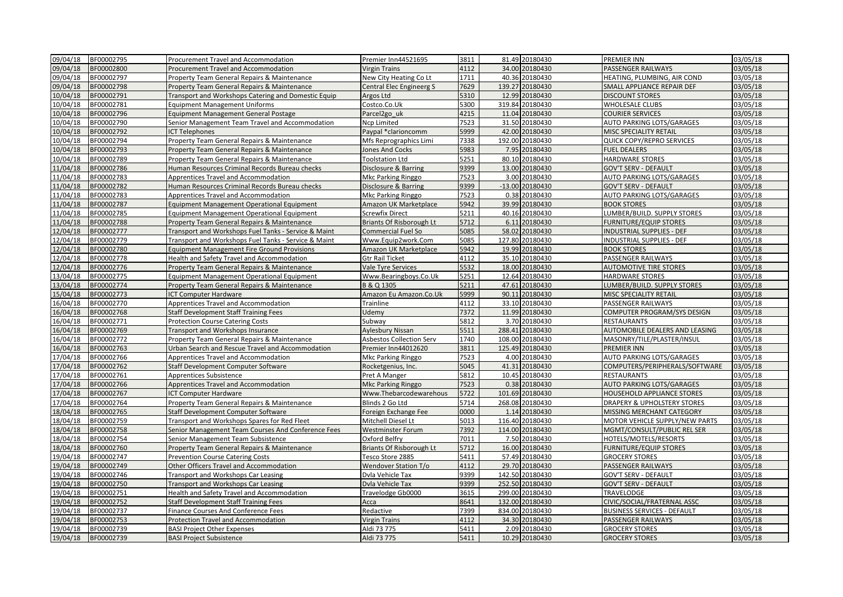| 09/04/18 | BF00002795 | Procurement Travel and Accommodation                 | Premier Inn44521695             | 3811 | 81.49 20180430  | PREMIER INN                            | 03/05/18 |
|----------|------------|------------------------------------------------------|---------------------------------|------|-----------------|----------------------------------------|----------|
| 09/04/18 | BF00002800 | Procurement Travel and Accommodation                 | <b>Virgin Trains</b>            | 4112 | 34.00 20180430  | PASSENGER RAILWAYS                     | 03/05/18 |
| 09/04/18 | BF00002797 | Property Team General Repairs & Maintenance          | New City Heating Co Lt          | 1711 | 40.36 20180430  | HEATING, PLUMBING, AIR COND            | 03/05/18 |
| 09/04/18 | BF00002798 | Property Team General Repairs & Maintenance          | <b>Central Elec Engineerg S</b> | 7629 | 139.27 20180430 | SMALL APPLIANCE REPAIR DEF             | 03/05/18 |
| 10/04/18 | BF00002791 | Transport and Workshops Catering and Domestic Equip  | Argos Ltd                       | 5310 | 12.99 20180430  | <b>DISCOUNT STORES</b>                 | 03/05/18 |
| 10/04/18 | BF00002781 | <b>Equipment Management Uniforms</b>                 | Costco.Co.Uk                    | 5300 | 319.84 20180430 | WHOLESALE CLUBS                        | 03/05/18 |
| 10/04/18 | BF00002796 | Equipment Management General Postage                 | Parcel <sub>2go uk</sub>        | 4215 | 11.04 20180430  | <b>COURIER SERVICES</b>                | 03/05/18 |
| 10/04/18 | BF00002790 | Senior Management Team Travel and Accommodation      | Ncp Limited                     | 7523 | 31.50 20180430  | AUTO PARKING LOTS/GARAGES              | 03/05/18 |
| 10/04/18 | BF00002792 | <b>ICT Telephones</b>                                | Paypal *clarioncomm             | 5999 | 42.00 20180430  | MISC SPECIALITY RETAIL                 | 03/05/18 |
| 10/04/18 | BF00002794 | Property Team General Repairs & Maintenance          | Mfs Reprographics Limi          | 7338 | 192.00 20180430 | QUICK COPY/REPRO SERVICES              | 03/05/18 |
| 10/04/18 | BF00002793 | Property Team General Repairs & Maintenance          | <b>Jones And Cocks</b>          | 5983 | 7.95 20180430   | <b>FUEL DEALERS</b>                    | 03/05/18 |
| 10/04/18 | BF00002789 | Property Team General Repairs & Maintenance          | <b>Toolstation Ltd</b>          | 5251 | 80.10 20180430  | <b>HARDWARE STORES</b>                 | 03/05/18 |
| 11/04/18 | BF00002786 | Human Resources Criminal Records Bureau checks       | Disclosure & Barring            | 9399 | 13.00 20180430  | <b>GOV'T SERV - DEFAULT</b>            | 03/05/18 |
| 11/04/18 | BF00002783 | Apprentices Travel and Accommodation                 | Mkc Parking Ringgo              | 7523 | 3.00 20180430   | AUTO PARKING LOTS/GARAGES              | 03/05/18 |
| 11/04/18 | BF00002782 | Human Resources Criminal Records Bureau checks       | Disclosure & Barring            | 9399 | -13.00 20180430 | <b>GOV'T SERV - DEFAULT</b>            | 03/05/18 |
| 11/04/18 | BF00002783 | Apprentices Travel and Accommodation                 | Mkc Parking Ringgo              | 7523 | 0.38 20180430   | AUTO PARKING LOTS/GARAGES              | 03/05/18 |
| 11/04/18 | BF00002787 | Equipment Management Operational Equipment           | Amazon UK Marketplace           | 5942 | 39.99 20180430  | <b>BOOK STORES</b>                     | 03/05/18 |
| 11/04/18 | BF00002785 | <b>Equipment Management Operational Equipment</b>    | <b>Screwfix Direct</b>          | 5211 | 40.16 20180430  | LUMBER/BUILD. SUPPLY STORES            | 03/05/18 |
| 11/04/18 | BF00002788 | Property Team General Repairs & Maintenance          | Briants Of Risborough Lt        | 5712 | 6.11 20180430   | <b>FURNITURE/EQUIP STORES</b>          | 03/05/18 |
| 12/04/18 | BF00002777 | Transport and Workshops Fuel Tanks - Service & Maint | <b>Commercial Fuel So</b>       | 5085 | 58.02 20180430  | <b>INDUSTRIAL SUPPLIES - DEF</b>       | 03/05/18 |
| 12/04/18 | BF00002779 | Transport and Workshops Fuel Tanks - Service & Maint | Www.Equip2work.Com              | 5085 | 127.80 20180430 | INDUSTRIAL SUPPLIES - DEF              | 03/05/18 |
| 12/04/18 | BF00002780 | <b>Equipment Management Fire Ground Provisions</b>   | Amazon UK Marketplace           | 5942 | 19.99 20180430  | <b>BOOK STORES</b>                     | 03/05/18 |
| 12/04/18 | BF00002778 | Health and Safety Travel and Accommodation           | <b>Gtr Rail Ticket</b>          | 4112 | 35.10 20180430  | PASSENGER RAILWAYS                     | 03/05/18 |
| 12/04/18 | BF00002776 | Property Team General Repairs & Maintenance          | Vale Tyre Services              | 5532 | 18.00 20180430  | AUTOMOTIVE TIRE STORES                 | 03/05/18 |
| 13/04/18 | BF00002775 | Equipment Management Operational Equipment           | Www.Bearingboys.Co.Uk           | 5251 | 12.64 20180430  | <b>HARDWARE STORES</b>                 | 03/05/18 |
| 13/04/18 | BF00002774 | Property Team General Repairs & Maintenance          | B & Q 1305                      | 5211 | 47.61 20180430  | LUMBER/BUILD. SUPPLY STORES            | 03/05/18 |
| 15/04/18 | BF00002773 | <b>ICT Computer Hardware</b>                         | Amazon Eu Amazon.Co.Uk          | 5999 | 90.11 20180430  | MISC SPECIALITY RETAIL                 | 03/05/18 |
| 16/04/18 | BF00002770 | Apprentices Travel and Accommodation                 | Trainline                       | 4112 | 33.10 20180430  | PASSENGER RAILWAYS                     | 03/05/18 |
| 16/04/18 | BF00002768 | <b>Staff Development Staff Training Fees</b>         | Udemy                           | 7372 | 11.99 20180430  | COMPUTER PROGRAM/SYS DESIGN            | 03/05/18 |
| 16/04/18 | BF00002771 | <b>Protection Course Catering Costs</b>              | Subway                          | 5812 | 3.70 20180430   | <b>RESTAURANTS</b>                     | 03/05/18 |
| 16/04/18 | BF00002769 | Transport and Workshops Insurance                    | Aylesbury Nissan                | 5511 | 288.41 20180430 | AUTOMOBILE DEALERS AND LEASING         | 03/05/18 |
| 16/04/18 | BF00002772 | Property Team General Repairs & Maintenance          | Asbestos Collection Serv        | 1740 | 108.00 20180430 | MASONRY/TILE/PLASTER/INSUL             | 03/05/18 |
| 16/04/18 | BF00002763 | Urban Search and Rescue Travel and Accommodation     | Premier Inn44012620             | 3811 | 125.49 20180430 | PREMIER INN                            | 03/05/18 |
| 17/04/18 | BF00002766 | Apprentices Travel and Accommodation                 | Mkc Parking Ringgo              | 7523 | 4.00 20180430   | AUTO PARKING LOTS/GARAGES              | 03/05/18 |
| 17/04/18 | BF00002762 | Staff Development Computer Software                  | Rocketgenius, Inc.              | 5045 | 41.31 20180430  | COMPUTERS/PERIPHERALS/SOFTWARE         | 03/05/18 |
| 17/04/18 | BF00002761 | Apprentices Subsistence                              | Pret A Manger                   | 5812 | 10.45 20180430  | RESTAURANTS                            | 03/05/18 |
| 17/04/18 | BF00002766 | Apprentices Travel and Accommodation                 | Mkc Parking Ringgo              | 7523 | 0.38 20180430   | AUTO PARKING LOTS/GARAGES              | 03/05/18 |
| 17/04/18 | BF00002767 | ICT Computer Hardware                                | Www.Thebarcodewarehous          | 5722 | 101.69 20180430 | HOUSEHOLD APPLIANCE STORES             | 03/05/18 |
| 17/04/18 | BF00002764 | Property Team General Repairs & Maintenance          | Blinds 2 Go Ltd                 | 5714 | 268.08 20180430 | <b>DRAPERY &amp; UPHOLSTERY STORES</b> | 03/05/18 |
| 18/04/18 | BF00002765 | Staff Development Computer Software                  | Foreign Exchange Fee            | 0000 | 1.14 20180430   | MISSING MERCHANT CATEGORY              | 03/05/18 |
| 18/04/18 | BF00002759 | Transport and Workshops Spares for Red Fleet         | Mitchell Diesel Lt              | 5013 | 116.40 20180430 | MOTOR VEHICLE SUPPLY/NEW PARTS         | 03/05/18 |
| 18/04/18 | BF00002758 | Senior Management Team Courses And Conference Fees   | Westminster Forum               | 7392 | 114.00 20180430 | MGMT/CONSULT/PUBLIC REL SER            | 03/05/18 |
| 18/04/18 | BF00002754 | Senior Management Team Subsistence                   | Oxford Belfry                   | 7011 | 7.50 20180430   | HOTELS/MOTELS/RESORTS                  | 03/05/18 |
| 18/04/18 | BF00002760 | Property Team General Repairs & Maintenance          | Briants Of Risborough Lt        | 5712 | 16.00 20180430  | <b>FURNITURE/EQUIP STORES</b>          | 03/05/18 |
| 19/04/18 | BF00002747 | <b>Prevention Course Catering Costs</b>              | Tesco Store 2885                | 5411 | 57.49 20180430  | <b>GROCERY STORES</b>                  | 03/05/18 |
| 19/04/18 | BF00002749 | Other Officers Travel and Accommodation              | Wendover Station T/o            | 4112 | 29.70 20180430  | PASSENGER RAILWAYS                     | 03/05/18 |
| 19/04/18 | BF00002746 | Transport and Workshops Car Leasing                  | Dvla Vehicle Tax                | 9399 | 142.50 20180430 | GOV'T SERV - DEFAULT                   | 03/05/18 |
| 19/04/18 | BF00002750 | Transport and Workshops Car Leasing                  | Dvla Vehicle Tax                | 9399 | 252.50 20180430 | <b>GOV'T SERV - DEFAULT</b>            | 03/05/18 |
| 19/04/18 | BF00002751 | Health and Safety Travel and Accommodation           | Travelodge Gb0000               | 3615 | 299.00 20180430 | TRAVELODGE                             | 03/05/18 |
| 19/04/18 | BF00002752 | <b>Staff Development Staff Training Fees</b>         | Acca                            | 8641 | 132.00 20180430 | CIVIC/SOCIAL/FRATERNAL ASSC            | 03/05/18 |
| 19/04/18 | BF00002737 | Finance Courses And Conference Fees                  | Redactive                       | 7399 | 834.00 20180430 | <b>BUSINESS SERVICES - DEFAULT</b>     | 03/05/18 |
| 19/04/18 | BF00002753 | Protection Travel and Accommodation                  | <b>Virgin Trains</b>            | 4112 | 34.30 20180430  | PASSENGER RAILWAYS                     | 03/05/18 |
| 19/04/18 | BF00002739 | <b>BASI Project Other Expenses</b>                   | Aldi 73 775                     | 5411 | 2.09 20180430   | <b>GROCERY STORES</b>                  | 03/05/18 |
| 19/04/18 | BF00002739 | <b>BASI Project Subsistence</b>                      | Aldi 73 775                     | 5411 | 10.29 20180430  | <b>GROCERY STORES</b>                  | 03/05/18 |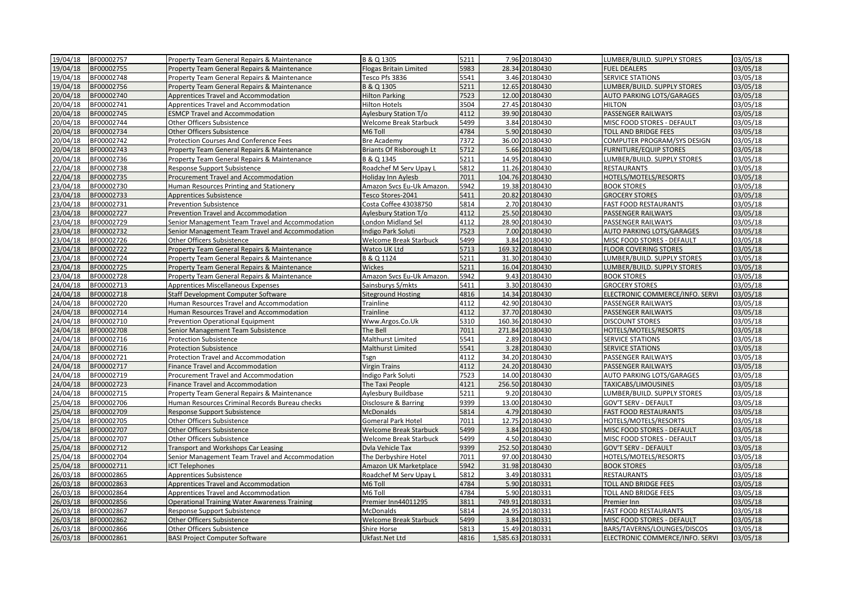| 19/04/18 | BF00002757 | Property Team General Repairs & Maintenance          | B & Q 1305                      | 5211 | 7.96 20180430     | LUMBER/BUILD. SUPPLY STORES      | 03/05/18 |
|----------|------------|------------------------------------------------------|---------------------------------|------|-------------------|----------------------------------|----------|
| 19/04/18 | BF00002755 | Property Team General Repairs & Maintenance          | <b>Flogas Britain Limited</b>   | 5983 | 28.34 20180430    | <b>FUEL DEALERS</b>              | 03/05/18 |
| 19/04/18 | BF00002748 | Property Team General Repairs & Maintenance          | Tesco Pfs 3836                  | 5541 | 3.46 20180430     | <b>SERVICE STATIONS</b>          | 03/05/18 |
| 19/04/18 | BF00002756 | Property Team General Repairs & Maintenance          | B & Q 1305                      | 5211 | 12.65 20180430    | LUMBER/BUILD. SUPPLY STORES      | 03/05/18 |
| 20/04/18 | BF00002740 | Apprentices Travel and Accommodation                 | <b>Hilton Parking</b>           | 7523 | 12.00 20180430    | <b>AUTO PARKING LOTS/GARAGES</b> | 03/05/18 |
| 20/04/18 | BF00002741 | Apprentices Travel and Accommodation                 | <b>Hilton Hotels</b>            | 3504 | 27.45 20180430    | HILTON                           | 03/05/18 |
| 20/04/18 | BF00002745 | <b>ESMCP Travel and Accommodation</b>                | <b>Aylesbury Station T/o</b>    | 4112 | 39.90 20180430    | <b>PASSENGER RAILWAYS</b>        | 03/05/18 |
| 20/04/18 | BF00002744 | Other Officers Subsistence                           | <b>Welcome Break Starbuck</b>   | 5499 | 3.84 20180430     | MISC FOOD STORES - DEFAULT       | 03/05/18 |
| 20/04/18 | BF00002734 | Other Officers Subsistence                           | M6 Toll                         | 4784 | 5.90 20180430     | <b>TOLL AND BRIDGE FEES</b>      | 03/05/18 |
| 20/04/18 | BF00002742 | Protection Courses And Conference Fees               | <b>Bre Academy</b>              | 7372 | 36.00 20180430    | COMPUTER PROGRAM/SYS DESIGN      | 03/05/18 |
| 20/04/18 | BF00002743 | Property Team General Repairs & Maintenance          | <b>Briants Of Risborough Lt</b> | 5712 | 5.66 20180430     | <b>FURNITURE/EQUIP STORES</b>    | 03/05/18 |
| 20/04/18 | BF00002736 | Property Team General Repairs & Maintenance          | B & Q 1345                      | 5211 | 14.95 20180430    | LUMBER/BUILD. SUPPLY STORES      | 03/05/18 |
| 22/04/18 | BF00002738 | Response Support Subsistence                         | Roadchef M Serv Upay L          | 5812 | 11.26 20180430    | <b>RESTAURANTS</b>               | 03/05/18 |
| 22/04/18 | BF00002735 | Procurement Travel and Accommodation                 | Holiday Inn Aylesb              | 7011 | 104.76 20180430   | HOTELS/MOTELS/RESORTS            | 03/05/18 |
| 23/04/18 | BF00002730 | Human Resources Printing and Stationery              | Amazon Svcs Eu-Uk Amazon.       | 5942 | 19.38 20180430    | <b>BOOK STORES</b>               | 03/05/18 |
| 23/04/18 | BF00002733 | <b>Apprentices Subsistence</b>                       | Tesco Stores-2041               | 5411 | 20.82 20180430    | <b>GROCERY STORES</b>            | 03/05/18 |
| 23/04/18 | BF00002731 | <b>Prevention Subsistence</b>                        | Costa Coffee 43038750           | 5814 | 2.70 20180430     | <b>FAST FOOD RESTAURANTS</b>     | 03/05/18 |
| 23/04/18 | BF00002727 | Prevention Travel and Accommodation                  | Aylesbury Station T/o           | 4112 | 25.50 20180430    | PASSENGER RAILWAYS               | 03/05/18 |
| 23/04/18 | BF00002729 | Senior Management Team Travel and Accommodation      | London Midland Sel              | 4112 | 28.90 20180430    | PASSENGER RAILWAYS               | 03/05/18 |
| 23/04/18 | BF00002732 | Senior Management Team Travel and Accommodation      | Indigo Park Soluti              | 7523 | 7.00 20180430     | <b>AUTO PARKING LOTS/GARAGES</b> | 03/05/18 |
| 23/04/18 | BF00002726 | Other Officers Subsistence                           | Welcome Break Starbuck          | 5499 | 3.84 20180430     | MISC FOOD STORES - DEFAULT       | 03/05/18 |
| 23/04/18 | BF00002722 | Property Team General Repairs & Maintenance          | Watco UK Ltd                    | 5713 | 169.32 20180430   | <b>FLOOR COVERING STORES</b>     | 03/05/18 |
| 23/04/18 | BF00002724 | Property Team General Repairs & Maintenance          | B & Q 1124                      | 5211 | 31.30 20180430    | LUMBER/BUILD. SUPPLY STORES      | 03/05/18 |
| 23/04/18 | BF00002725 | Property Team General Repairs & Maintenance          | <b>Wickes</b>                   | 5211 | 16.04 20180430    | LUMBER/BUILD. SUPPLY STORES      | 03/05/18 |
| 23/04/18 | BF00002728 | Property Team General Repairs & Maintenance          | Amazon Svcs Eu-Uk Amazon.       | 5942 | 9.43 20180430     | <b>BOOK STORES</b>               | 03/05/18 |
| 24/04/18 | BF00002713 | Apprentices Miscellaneous Expenses                   | Sainsburys S/mkts               | 5411 | 3.30 20180430     | <b>GROCERY STORES</b>            | 03/05/18 |
| 24/04/18 | BF00002718 | Staff Development Computer Software                  | <b>Siteground Hosting</b>       | 4816 | 14.34 20180430    | ELECTRONIC COMMERCE/INFO. SERVI  | 03/05/18 |
| 24/04/18 | BF00002720 | Human Resources Travel and Accommodation             | Trainline                       | 4112 | 42.90 20180430    | PASSENGER RAILWAYS               | 03/05/18 |
| 24/04/18 | BF00002714 | Human Resources Travel and Accommodation             | Trainline                       | 4112 | 37.70 20180430    | PASSENGER RAILWAYS               | 03/05/18 |
| 24/04/18 | BF00002710 | Prevention Operational Equipment                     | Www.Argos.Co.Uk                 | 5310 | 160.36 20180430   | <b>DISCOUNT STORES</b>           | 03/05/18 |
| 24/04/18 | BF00002708 | Senior Management Team Subsistence                   | The Bell                        | 7011 | 271.84 20180430   | HOTELS/MOTELS/RESORTS            | 03/05/18 |
| 24/04/18 | BF00002716 | Protection Subsistence                               | Malthurst Limited               | 5541 | 2.89 20180430     | SERVICE STATIONS                 | 03/05/18 |
| 24/04/18 | BF00002716 | <b>Protection Subsistence</b>                        | Malthurst Limited               | 5541 | 3.28 20180430     | <b>SERVICE STATIONS</b>          | 03/05/18 |
| 24/04/18 | BF00002721 | Protection Travel and Accommodation                  | Tsgn                            | 4112 | 34.20 20180430    | PASSENGER RAILWAYS               | 03/05/18 |
| 24/04/18 | BF00002717 | Finance Travel and Accommodation                     | <b>Virgin Trains</b>            | 4112 | 24.20 20180430    | <b>PASSENGER RAILWAYS</b>        | 03/05/18 |
| 24/04/18 | BF00002719 | Procurement Travel and Accommodation                 | Indigo Park Soluti              | 7523 | 14.00 20180430    | AUTO PARKING LOTS/GARAGES        | 03/05/18 |
| 24/04/18 | BF00002723 | Finance Travel and Accommodation                     | The Taxi People                 | 4121 | 256.50 20180430   | TAXICABS/LIMOUSINES              | 03/05/18 |
| 24/04/18 | BF00002715 | Property Team General Repairs & Maintenance          | Aylesbury Buildbase             | 5211 | 9.20 20180430     | LUMBER/BUILD. SUPPLY STORES      | 03/05/18 |
| 25/04/18 | BF00002706 | Human Resources Criminal Records Bureau checks       | Disclosure & Barring            | 9399 | 13.00 20180430    | <b>GOV'T SERV - DEFAULT</b>      | 03/05/18 |
| 25/04/18 | BF00002709 | Response Support Subsistence                         | <b>McDonalds</b>                | 5814 | 4.79 20180430     | <b>FAST FOOD RESTAURANTS</b>     | 03/05/18 |
| 25/04/18 | BF00002705 | Other Officers Subsistence                           | <b>Gomeral Park Hotel</b>       | 7011 | 12.75 20180430    | HOTELS/MOTELS/RESORTS            | 03/05/18 |
| 25/04/18 | BF00002707 | Other Officers Subsistence                           | Welcome Break Starbuck          | 5499 | 3.84 20180430     | MISC FOOD STORES - DEFAULT       | 03/05/18 |
| 25/04/18 | BF00002707 | Other Officers Subsistence                           | Welcome Break Starbuck          | 5499 | 4.50 20180430     | MISC FOOD STORES - DEFAULT       | 03/05/18 |
| 25/04/18 | BF00002712 | Transport and Workshops Car Leasing                  | Dvla Vehicle Tax                | 9399 | 252.50 20180430   | GOV'T SERV - DEFAULT             | 03/05/18 |
| 25/04/18 | BF00002704 | Senior Management Team Travel and Accommodation      | The Derbyshire Hotel            | 7011 | 97.00 20180430    | HOTELS/MOTELS/RESORTS            | 03/05/18 |
| 25/04/18 | BF00002711 | <b>CT Telephones</b>                                 | Amazon UK Marketplace           | 5942 | 31.98 20180430    | <b>BOOK STORES</b>               | 03/05/18 |
| 26/03/18 | BF00002865 | Apprentices Subsistence                              | Roadchef M Serv Upay L          | 5812 | 3.49 20180331     | <b>RESTAURANTS</b>               | 03/05/18 |
| 26/03/18 | BF00002863 | Apprentices Travel and Accommodation                 | M6 Toll                         | 4784 | 5.90 20180331     | <b>TOLL AND BRIDGE FEES</b>      | 03/05/18 |
| 26/03/18 | BF00002864 | Apprentices Travel and Accommodation                 | M6 Toll                         | 4784 | 5.90 20180331     | TOLL AND BRIDGE FEES             | 03/05/18 |
| 26/03/18 | BF00002856 | <b>Operational Training Water Awareness Training</b> | Premier Inn44011295             | 3811 | 749.91 20180331   | Premier Inn                      | 03/05/18 |
| 26/03/18 | BF00002867 | Response Support Subsistence                         | McDonalds                       | 5814 | 24.95 20180331    | <b>FAST FOOD RESTAURANTS</b>     | 03/05/18 |
| 26/03/18 | BF00002862 | <b>Other Officers Subsistence</b>                    | <b>Welcome Break Starbuck</b>   | 5499 | 3.84 20180331     | MISC FOOD STORES - DEFAULT       | 03/05/18 |
| 26/03/18 | BF00002866 | Other Officers Subsistence                           | Shire Horse                     | 5813 | 15.49 20180331    | BARS/TAVERNS/LOUNGES/DISCOS      | 03/05/18 |
| 26/03/18 | BF00002861 | <b>BASI Project Computer Software</b>                | Ukfast.Net Ltd                  | 4816 | 1,585.63 20180331 | ELECTRONIC COMMERCE/INFO. SERVI  | 03/05/18 |